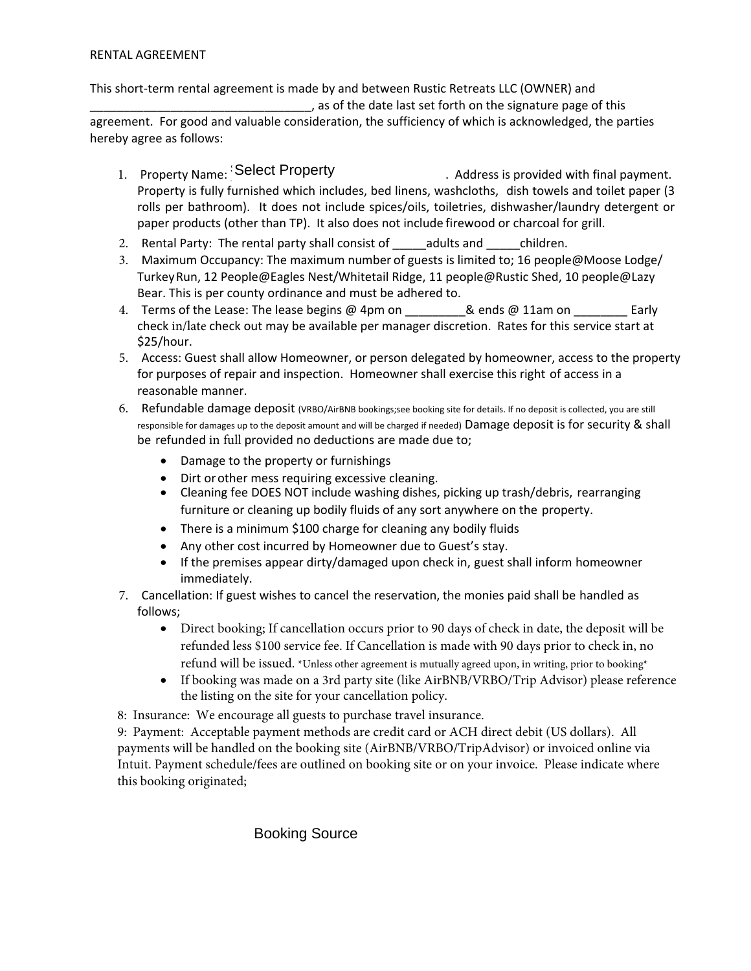This short-term rental agreement is made by and between Rustic Retreats LLC (OWNER) and , as of the date last set forth on the signature page of this agreement. For good and valuable consideration, the sufficiency of which is acknowledged, the parties hereby agree as follows:

- 1. Property Name: Select Property **East Actual** Address is provided with final payment. Property is fully furnished which includes, bed linens, washcloths, dish towels and toilet paper (3 rolls per bathroom). It does not include spices/oils, toiletries, dishwasher/laundry detergent or paper products (other than TP). It also does not include firewood or charcoal for grill. Consideration Select Property<br>
Urmished which include<br>
Urmished which include<br>
other than TP). It also do<br>
e rental party shall con<br>
sancy: The maximum nu<br>
cople@Eagles Nest/Wh<br>
county ordinance and m<br>
se: The lease begins
- 2. Rental Party: The rental party shall consist of adults and children.
- 3. Maximum Occupancy: The maximum number of guests is limited to; 16 people@Moose Lodge/ Turkey Run, 12 People@Eagles Nest/Whitetail Ridge, 11 people@Rustic Shed, 10 people@Lazy Bear. This is per county ordinance and must be adhered to.
- 4. Terms of the Lease: The lease begins @ 4pm on \_\_\_\_\_\_\_\_\_\_& ends @ 11am on \_\_\_\_\_\_ check in/late check out may be available per manager discretion. Rates for this service start at \$25/hour.
- 5. Access: Guest shall allow Homeowner, or person delegated by homeowner, access to the property for purposes of repair and inspection. Homeowner shall exercise this right of access in a reasonable manner.
- 6. Refundable damage deposit (VRBO/AirBNB bookings;see booking site for details. If no deposit is collected, you are still responsible for damages up to the deposit amount and will be charged if needed) Damage deposit is for security & shall be refunded in full provided no deductions are made due to;
	- Damage to the property or furnishings
	- Dirt orother mess requiring excessive cleaning.
	- Cleaning fee DOES NOT include washing dishes, picking up trash/debris, rearranging furniture or cleaning up bodily fluids of any sort anywhere on the property.
	- There is a minimum \$100 charge for cleaning any bodily fluids
	- Any other cost incurred by Homeowner due to Guest's stay.
	- If the premises appear dirty/damaged upon check in, guest shall inform homeowner immediately.
- 7. Cancellation: If guest wishes to cancel the reservation, the monies paid shall be handled as follows;
	- Direct booking; If cancellation occurs prior to 90 days of check in date, the deposit will be refunded less \$100 service fee. If Cancellation is made with 90 days prior to check in, no refund will be issued. \*Unless other agreement is mutually agreed upon, in writing, prior to booking\*
	- If booking was made on a 3rd party site (like AirBNB/VRBO/Trip Advisor) please reference the listing on the site for your cancellation policy.
- 8: Insurance: We encourage all guests to purchase travel insurance.

9: Payment: Acceptable payment methods are credit card or ACH direct debit (US dollars). All payments will be handled on the booking site (AirBNB/VRBO/TripAdvisor) or invoiced online via Intuit. Payment schedule/fees are outlined on booking site or on your invoice. Please indicate where this booking originated;

**Booking Source**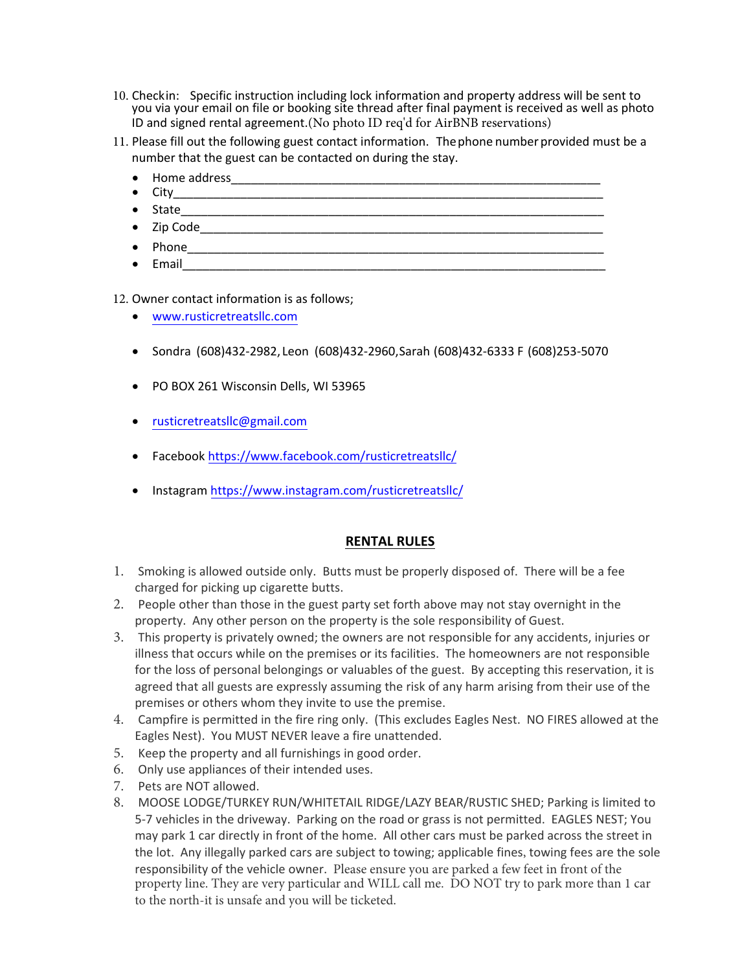- 10. Checkin: Specific instruction including lock information and property address will be sent to you via your email on file or booking site thread after final payment is received as well as photo ID and signed rental agreement.(No photo ID req'd for AirBNB reservations)
- 11. Please fill out the following guest contact information. Thephone number provided must be a number that the guest can be contacted on during the stay.
	- $\bullet$  Home address  $\bullet$
	- $\bullet$  City
	- State  $\overline{\phantom{a}}$
	- $Zip Code$   $\overline{\phantom{a}}$
	- Phone\_\_\_\_\_\_\_\_\_\_\_\_\_\_\_\_\_\_\_\_\_\_\_\_\_\_\_\_\_\_\_\_\_\_\_\_\_\_\_\_\_\_\_\_\_\_\_\_\_\_\_\_\_\_\_\_\_\_\_\_\_\_
	- $\bullet$  Email  $\bullet$  Email  $\bullet$   $\bullet$   $\bullet$   $\bullet$   $\bullet$   $\bullet$   $\bullet$   $\bullet$   $\bullet$   $\bullet$   $\bullet$   $\bullet$   $\bullet$   $\bullet$   $\bullet$   $\bullet$   $\bullet$   $\bullet$   $\bullet$   $\bullet$   $\bullet$   $\bullet$   $\bullet$   $\bullet$   $\bullet$   $\bullet$   $\bullet$   $\bullet$  -

12. Owner contact information is as follows;

- www.rusticretreatsllc.com
- Sondra (608)432-2982, Leon (608)432-2960, Sarah (608)432-6333 F (608)253-5070
- PO BOX 261 Wisconsin Dells, WI 53965
- rusticretreatsllc@gmail.com
- Facebook <https://www.facebook.com/rusticretreatsllc/>
- Instagram <https://www.instagram.com/rusticretreatsllc/>

## **RENTAL RULES**

- 1. Smoking is allowed outside only. Butts must be properly disposed of. There will be a fee charged for picking up cigarette butts.
- 2. People other than those in the guest party set forth above may not stay overnight in the property. Any other person on the property is the sole responsibility of Guest.
- 3. This property is privately owned; the owners are not responsible for any accidents, injuries or illness that occurs while on the premises or its facilities. The homeowners are not responsible for the loss of personal belongings or valuables of the guest. By accepting this reservation, it is agreed that all guests are expressly assuming the risk of any harm arising from their use of the premises or others whom they invite to use the premise.
- 4. Campfire is permitted in the fire ring only. (This excludes Eagles Nest. NO FIRES allowed at the Eagles Nest). You MUST NEVER leave a fire unattended.
- 5. Keep the property and all furnishings in good order.
- 6. Only use appliances of their intended uses.
- 7. Pets are NOT allowed.
- 8. MOOSE LODGE/TURKEY RUN/WHITETAIL RIDGE/LAZY BEAR/RUSTIC SHED; Parking is limited to 5-7 vehicles in the driveway. Parking on the road or grass is not permitted. EAGLES NEST; You may park 1 car directly in front of the home. All other cars must be parked across the street in the lot. Any illegally parked cars are subject to towing; applicable fines, towing fees are the sole responsibility of the vehicle owner. Please ensure you are parked a few feet in front of the property line. They are very particular and WILL call me. DO NOT try to park more than 1 car to the north-it is unsafe and you will be ticketed.